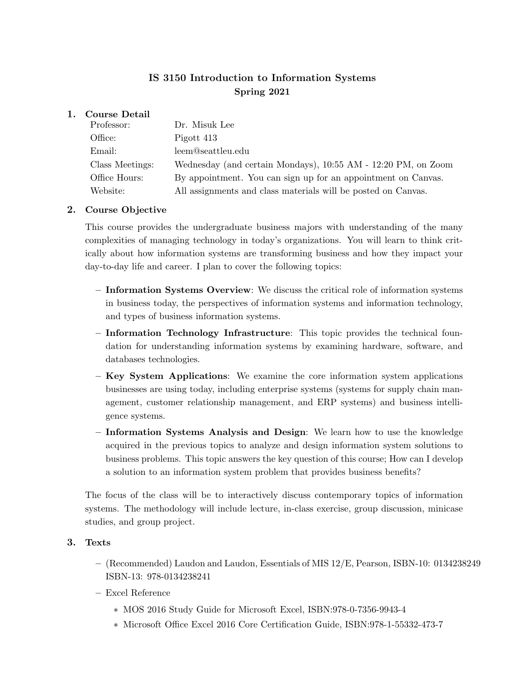## IS 3150 Introduction to Information Systems Spring 2021

### 1. Course Detail

| Professor:      | Dr. Misuk Lee                                                 |
|-----------------|---------------------------------------------------------------|
| Office:         | Pigott 413                                                    |
| Email:          | leem@seattleu.edu                                             |
| Class Meetings: | Wednesday (and certain Mondays), 10:55 AM - 12:20 PM, on Zoom |
| Office Hours:   | By appointment. You can sign up for an appointment on Canvas. |
| Website:        | All assignments and class materials will be posted on Canvas. |

## 2. Course Objective

This course provides the undergraduate business majors with understanding of the many complexities of managing technology in today's organizations. You will learn to think critically about how information systems are transforming business and how they impact your day-to-day life and career. I plan to cover the following topics:

- Information Systems Overview: We discuss the critical role of information systems in business today, the perspectives of information systems and information technology, and types of business information systems.
- Information Technology Infrastructure: This topic provides the technical foundation for understanding information systems by examining hardware, software, and databases technologies.
- Key System Applications: We examine the core information system applications businesses are using today, including enterprise systems (systems for supply chain management, customer relationship management, and ERP systems) and business intelligence systems.
- Information Systems Analysis and Design: We learn how to use the knowledge acquired in the previous topics to analyze and design information system solutions to business problems. This topic answers the key question of this course; How can I develop a solution to an information system problem that provides business benefits?

The focus of the class will be to interactively discuss contemporary topics of information systems. The methodology will include lecture, in-class exercise, group discussion, minicase studies, and group project.

### 3. Texts

- (Recommended) Laudon and Laudon, Essentials of MIS 12/E, Pearson, ISBN-10: 0134238249 ISBN-13: 978-0134238241
- Excel Reference
	- \* MOS 2016 Study Guide for Microsoft Excel, ISBN:978-0-7356-9943-4
	- \* Microsoft Office Excel 2016 Core Certification Guide, ISBN:978-1-55332-473-7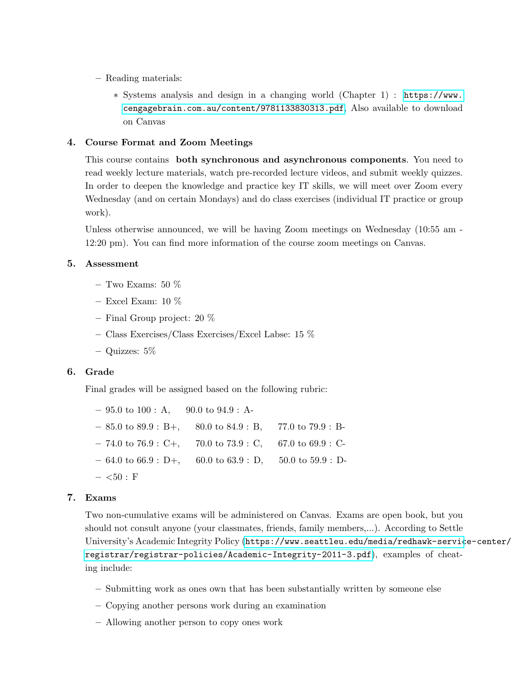- Reading materials:
	- \* Systems analysis and design in a changing world (Chapter 1) : [https://www.](https://www.cengagebrain.com.au/content/9781133830313.pdf) [cengagebrain.com.au/content/9781133830313.pdf](https://www.cengagebrain.com.au/content/9781133830313.pdf), Also available to download on Canvas

#### 4. Course Format and Zoom Meetings

This course contains both synchronous and asynchronous components. You need to read weekly lecture materials, watch pre-recorded lecture videos, and submit weekly quizzes. In order to deepen the knowledge and practice key IT skills, we will meet over Zoom every Wednesday (and on certain Mondays) and do class exercises (individual IT practice or group work).

Unless otherwise announced, we will be having Zoom meetings on Wednesday (10:55 am - 12:20 pm). You can find more information of the course zoom meetings on Canvas.

#### 5. Assessment

- Two Exams: 50  $%$
- Excel Exam:  $10\%$
- Final Group project: 20 %
- Class Exercises/Class Exercises/Excel Labse: 15 %
- Quizzes: 5%

#### 6. Grade

Final grades will be assigned based on the following rubric:

|             | $-95.0$ to $100 : A$ , $90.0$ to $94.9 : A$                                          |  |
|-------------|--------------------------------------------------------------------------------------|--|
|             | $-85.0 \text{ to } 89.9 : B+, 80.0 \text{ to } 84.9 : B, 77.0 \text{ to } 79.9 : B-$ |  |
|             | $-74.0 \text{ to } 76.9 : C_{+}$ , 70.0 to 73.9 : C, 67.0 to 69.9 : C-               |  |
|             | $-64.0 \text{ to } 66.9 : D+, 60.0 \text{ to } 63.9 : D, 50.0 \text{ to } 59.9 : D-$ |  |
| $-$ <50 : F |                                                                                      |  |

#### 7. Exams

Two non-cumulative exams will be administered on Canvas. Exams are open book, but you should not consult anyone (your classmates, friends, family members,...). According to Settle University's Academic Integrity Policy ([https://www.seattleu.edu/media/redhawk-servic](https://www.seattleu.edu/media/redhawk-service-center/registrar/registrar-policies/Academic-Integrity-2011-3.pdf)e-center/ [registrar/registrar-policies/Academic-Integrity-2011-3.pdf](https://www.seattleu.edu/media/redhawk-service-center/registrar/registrar-policies/Academic-Integrity-2011-3.pdf)), examples of cheating include:

- Submitting work as ones own that has been substantially written by someone else
- Copying another persons work during an examination
- Allowing another person to copy ones work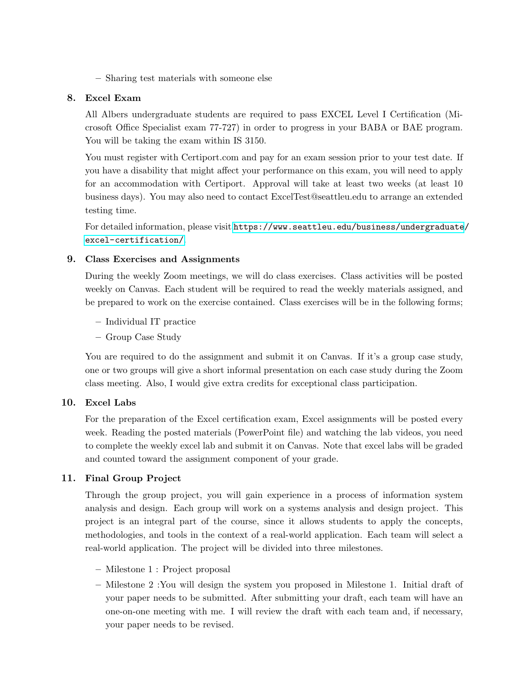– Sharing test materials with someone else

## 8. Excel Exam

All Albers undergraduate students are required to pass EXCEL Level I Certification (Microsoft Office Specialist exam 77-727) in order to progress in your BABA or BAE program. You will be taking the exam within IS 3150.

You must register with [Certiport.com](https://Certiport.com) and pay for an exam session prior to your test date. If you have a disability that might affect your performance on this exam, you will need to apply for an accommodation with Certiport. Approval will take at least two weeks (at least 10 business days). You may also need to contact [ExcelTest@seattleu.edu](mailto:ExcelTest@seattleu.edu) to arrange an extended testing time.

For detailed information, please visit [https://www.seattleu.edu/business/undergraduate](https://www.seattleu.edu/business/undergraduate/excel-certification/)/ [excel-certification/](https://www.seattleu.edu/business/undergraduate/excel-certification/).

## 9. Class Exercises and Assignments

During the weekly Zoom meetings, we will do class exercises. Class activities will be posted weekly on Canvas. Each student will be required to read the weekly materials assigned, and be prepared to work on the exercise contained. Class exercises will be in the following forms;

- Individual IT practice
- Group Case Study

You are required to do the assignment and submit it on Canvas. If it's a group case study, one or two groups will give a short informal presentation on each case study during the Zoom class meeting. Also, I would give extra credits for exceptional class participation.

#### 10. Excel Labs

For the preparation of the Excel certification exam, Excel assignments will be posted every week. Reading the posted materials (PowerPoint file) and watching the lab videos, you need to complete the weekly excel lab and submit it on Canvas. Note that excel labs will be graded and counted toward the assignment component of your grade.

## 11. Final Group Project

Through the group project, you will gain experience in a process of information system analysis and design. Each group will work on a systems analysis and design project. This project is an integral part of the course, since it allows students to apply the concepts, methodologies, and tools in the context of a real-world application. Each team will select a real-world application. The project will be divided into three milestones.

- Milestone 1 : Project proposal
- Milestone 2 :You will design the system you proposed in Milestone 1. Initial draft of your paper needs to be submitted. After submitting your draft, each team will have an one-on-one meeting with me. I will review the draft with each team and, if necessary, your paper needs to be revised.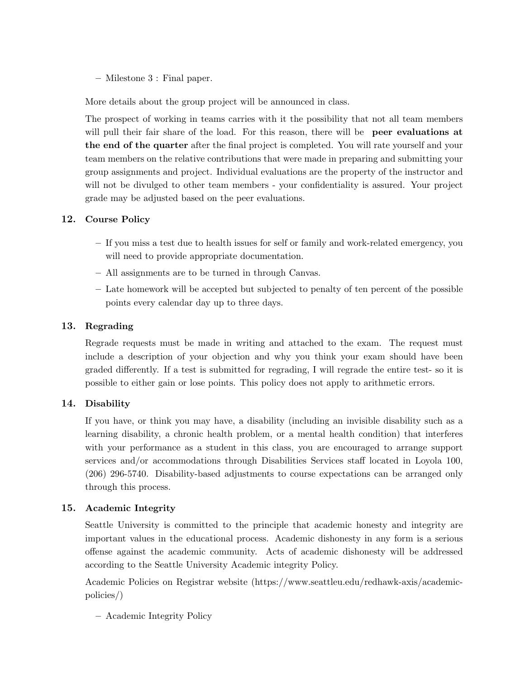– Milestone 3 : Final paper.

More details about the group project will be announced in class.

The prospect of working in teams carries with it the possibility that not all team members will pull their fair share of the load. For this reason, there will be **peer evaluations at** the end of the quarter after the final project is completed. You will rate yourself and your team members on the relative contributions that were made in preparing and submitting your group assignments and project. Individual evaluations are the property of the instructor and will not be divulged to other team members - your confidentiality is assured. Your project grade may be adjusted based on the peer evaluations.

## 12. Course Policy

- If you miss a test due to health issues for self or family and work-related emergency, you will need to provide appropriate documentation.
- All assignments are to be turned in through Canvas.
- Late homework will be accepted but subjected to penalty of ten percent of the possible points every calendar day up to three days.

## 13. Regrading

Regrade requests must be made in writing and attached to the exam. The request must include a description of your objection and why you think your exam should have been graded differently. If a test is submitted for regrading, I will regrade the entire test- so it is possible to either gain or lose points. This policy does not apply to arithmetic errors.

## 14. Disability

If you have, or think you may have, a disability (including an invisible disability such as a learning disability, a chronic health problem, or a mental health condition) that interferes with your performance as a student in this class, you are encouraged to arrange support services and/or accommodations through Disabilities Services staff located in Loyola 100, (206) 296-5740. Disability-based adjustments to course expectations can be arranged only through this process.

#### 15. Academic Integrity

Seattle University is committed to the principle that academic honesty and integrity are important values in the educational process. Academic dishonesty in any form is a serious offense against the academic community. Acts of academic dishonesty will be addressed according to the Seattle University Academic integrity Policy.

Academic Policies on Registrar website [\(https://www.seattleu.edu/redhawk-axis/academic](https://www.seattleu.edu/redhawk-axis/academic)policies/)

– Academic Integrity Policy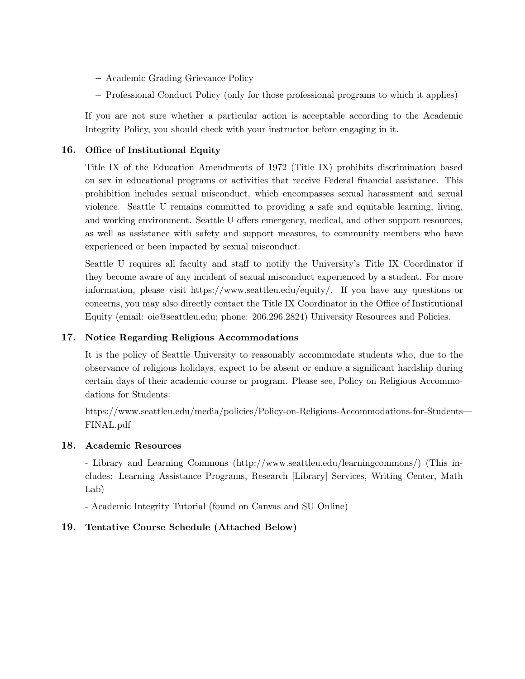- Academic Grading Grievance Policy
- Professional Conduct Policy (only for those professional programs to which it applies)

If you are not sure whether a particular action is acceptable according to the Academic Integrity Policy, you should check with your instructor before engaging in it.

## 16. Office of Institutional Equity

Title IX of the Education Amendments of 1972 (Title IX) prohibits discrimination based on sex in educational programs or activities that receive Federal financial assistance. This prohibition includes sexual misconduct, which encompasses sexual harassment and sexual violence. Seattle U remains committed to providing a safe and equitable learning, living, and working environment. Seattle U offers emergency, medical, and other support resources, as well as assistance with safety and support measures, to community members who have experienced or been impacted by sexual misconduct.

Seattle U requires all faculty and staff to notify the University's Title IX Coordinator if they become aware of any incident of sexual misconduct experienced by a student. For more information, please visit [https://www.seattleu.edu/equity/](https://www.seattleu.edu/equity). If you have any questions or concerns, you may also directly contact the Title IX Coordinator in the Office of Institutional Equity (email: [oie@seattleu.edu](mailto:oie@seattleu.edu); phone: 206.296.2824) University Resources and Policies.

## 17. Notice Regarding Religious Accommodations

It is the policy of Seattle University to reasonably accommodate students who, due to the observance of religious holidays, expect to be absent or endure a significant hardship during certain days of their academic course or program. Please see, Policy on Religious Accommodations for Students:

[https://www.seattleu.edu/media/policies/Policy-on-Religious-Accommodations-for-Students—](https://www.seattleu.edu/media/policies/Policy-on-Religious-Accommodations-for-Students) FINAL.pdf

#### 18. Academic Resources

- Library and Learning Commons ([http://www.seattleu.edu/learningcommons/](http://www.seattleu.edu/learningcommons)) (This includes: Learning Assistance Programs, Research [Library] Services, Writing Center, Math Lab)

- Academic Integrity Tutorial (found on Canvas and SU Online)

#### 19. Tentative Course Schedule (Attached Below)